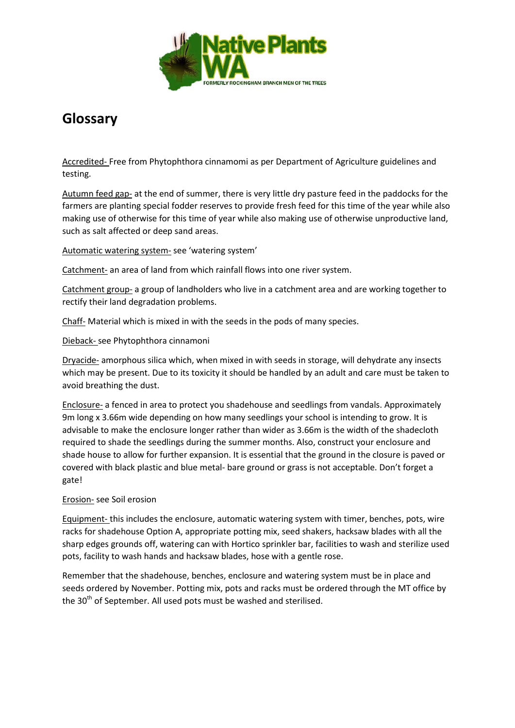

## **Glossary**

Accredited- Free from Phytophthora cinnamomi as per Department of Agriculture guidelines and testing.

Autumn feed gap- at the end of summer, there is very little dry pasture feed in the paddocks for the farmers are planting special fodder reserves to provide fresh feed for this time of the year while also making use of otherwise for this time of year while also making use of otherwise unproductive land, such as salt affected or deep sand areas.

Automatic watering system- see 'watering system'

Catchment- an area of land from which rainfall flows into one river system.

Catchment group- a group of landholders who live in a catchment area and are working together to rectify their land degradation problems.

Chaff- Material which is mixed in with the seeds in the pods of many species.

Dieback- see Phytophthora cinnamoni

Dryacide- amorphous silica which, when mixed in with seeds in storage, will dehydrate any insects which may be present. Due to its toxicity it should be handled by an adult and care must be taken to avoid breathing the dust.

Enclosure- a fenced in area to protect you shadehouse and seedlings from vandals. Approximately 9m long x 3.66m wide depending on how many seedlings your school is intending to grow. It is advisable to make the enclosure longer rather than wider as 3.66m is the width of the shadecloth required to shade the seedlings during the summer months. Also, construct your enclosure and shade house to allow for further expansion. It is essential that the ground in the closure is paved or covered with black plastic and blue metal- bare ground or grass is not acceptable. Don't forget a gate!

## Erosion- see Soil erosion

Equipment- this includes the enclosure, automatic watering system with timer, benches, pots, wire racks for shadehouse Option A, appropriate potting mix, seed shakers, hacksaw blades with all the sharp edges grounds off, watering can with Hortico sprinkler bar, facilities to wash and sterilize used pots, facility to wash hands and hacksaw blades, hose with a gentle rose.

Remember that the shadehouse, benches, enclosure and watering system must be in place and seeds ordered by November. Potting mix, pots and racks must be ordered through the MT office by the 30<sup>th</sup> of September. All used pots must be washed and sterilised.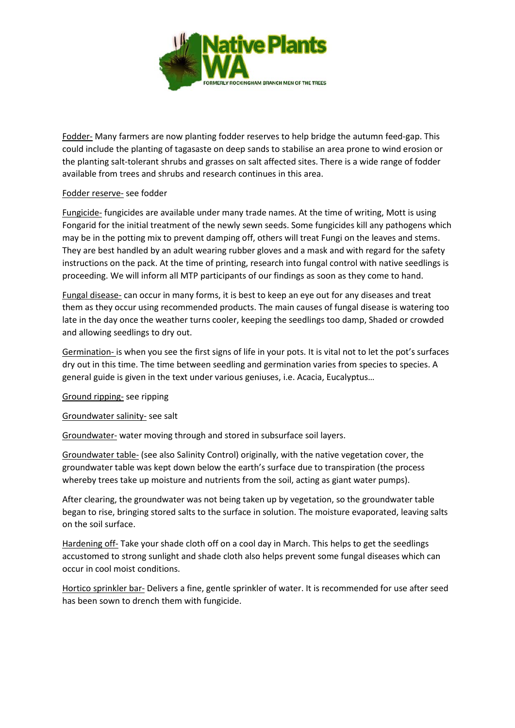

Fodder- Many farmers are now planting fodder reserves to help bridge the autumn feed-gap. This could include the planting of tagasaste on deep sands to stabilise an area prone to wind erosion or the planting salt-tolerant shrubs and grasses on salt affected sites. There is a wide range of fodder available from trees and shrubs and research continues in this area.

## Fodder reserve- see fodder

Fungicide- fungicides are available under many trade names. At the time of writing, Mott is using Fongarid for the initial treatment of the newly sewn seeds. Some fungicides kill any pathogens which may be in the potting mix to prevent damping off, others will treat Fungi on the leaves and stems. They are best handled by an adult wearing rubber gloves and a mask and with regard for the safety instructions on the pack. At the time of printing, research into fungal control with native seedlings is proceeding. We will inform all MTP participants of our findings as soon as they come to hand.

Fungal disease- can occur in many forms, it is best to keep an eye out for any diseases and treat them as they occur using recommended products. The main causes of fungal disease is watering too late in the day once the weather turns cooler, keeping the seedlings too damp, Shaded or crowded and allowing seedlings to dry out.

Germination- is when you see the first signs of life in your pots. It is vital not to let the pot's surfaces dry out in this time. The time between seedling and germination varies from species to species. A general guide is given in the text under various geniuses, i.e. Acacia, Eucalyptus…

Ground ripping- see ripping

Groundwater salinity- see salt

Groundwater- water moving through and stored in subsurface soil layers.

Groundwater table- (see also Salinity Control) originally, with the native vegetation cover, the groundwater table was kept down below the earth's surface due to transpiration (the process whereby trees take up moisture and nutrients from the soil, acting as giant water pumps).

After clearing, the groundwater was not being taken up by vegetation, so the groundwater table began to rise, bringing stored salts to the surface in solution. The moisture evaporated, leaving salts on the soil surface.

Hardening off- Take your shade cloth off on a cool day in March. This helps to get the seedlings accustomed to strong sunlight and shade cloth also helps prevent some fungal diseases which can occur in cool moist conditions.

Hortico sprinkler bar- Delivers a fine, gentle sprinkler of water. It is recommended for use after seed has been sown to drench them with fungicide.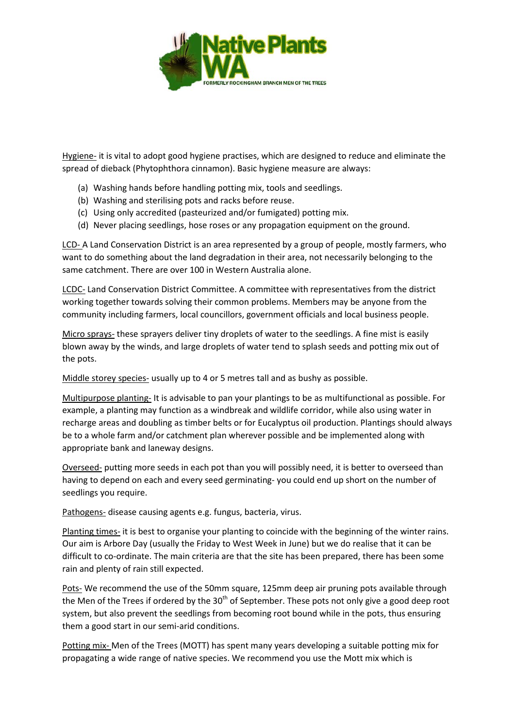

Hygiene- it is vital to adopt good hygiene practises, which are designed to reduce and eliminate the spread of dieback (Phytophthora cinnamon). Basic hygiene measure are always:

- (a) Washing hands before handling potting mix, tools and seedlings.
- (b) Washing and sterilising pots and racks before reuse.
- (c) Using only accredited (pasteurized and/or fumigated) potting mix.
- (d) Never placing seedlings, hose roses or any propagation equipment on the ground.

LCD- A Land Conservation District is an area represented by a group of people, mostly farmers, who want to do something about the land degradation in their area, not necessarily belonging to the same catchment. There are over 100 in Western Australia alone.

LCDC- Land Conservation District Committee. A committee with representatives from the district working together towards solving their common problems. Members may be anyone from the community including farmers, local councillors, government officials and local business people.

Micro sprays- these sprayers deliver tiny droplets of water to the seedlings. A fine mist is easily blown away by the winds, and large droplets of water tend to splash seeds and potting mix out of the pots.

Middle storey species- usually up to 4 or 5 metres tall and as bushy as possible.

Multipurpose planting- It is advisable to pan your plantings to be as multifunctional as possible. For example, a planting may function as a windbreak and wildlife corridor, while also using water in recharge areas and doubling as timber belts or for Eucalyptus oil production. Plantings should always be to a whole farm and/or catchment plan wherever possible and be implemented along with appropriate bank and laneway designs.

Overseed- putting more seeds in each pot than you will possibly need, it is better to overseed than having to depend on each and every seed germinating- you could end up short on the number of seedlings you require.

Pathogens- disease causing agents e.g. fungus, bacteria, virus.

Planting times- it is best to organise your planting to coincide with the beginning of the winter rains. Our aim is Arbore Day (usually the Friday to West Week in June) but we do realise that it can be difficult to co-ordinate. The main criteria are that the site has been prepared, there has been some rain and plenty of rain still expected.

Pots- We recommend the use of the 50mm square, 125mm deep air pruning pots available through the Men of the Trees if ordered by the  $30<sup>th</sup>$  of September. These pots not only give a good deep root system, but also prevent the seedlings from becoming root bound while in the pots, thus ensuring them a good start in our semi-arid conditions.

Potting mix- Men of the Trees (MOTT) has spent many years developing a suitable potting mix for propagating a wide range of native species. We recommend you use the Mott mix which is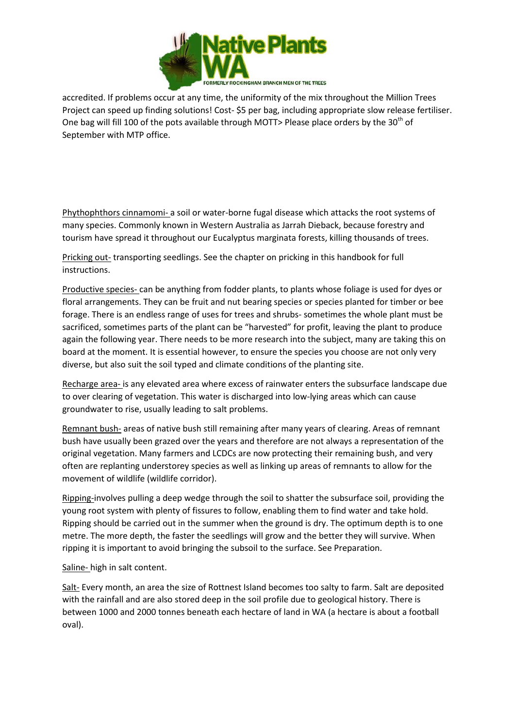

accredited. If problems occur at any time, the uniformity of the mix throughout the Million Trees Project can speed up finding solutions! Cost- \$5 per bag, including appropriate slow release fertiliser. One bag will fill 100 of the pots available through MOTT> Please place orders by the 30<sup>th</sup> of September with MTP office.

Phythophthors cinnamomi- a soil or water-borne fugal disease which attacks the root systems of many species. Commonly known in Western Australia as Jarrah Dieback, because forestry and tourism have spread it throughout our Eucalyptus marginata forests, killing thousands of trees.

Pricking out- transporting seedlings. See the chapter on pricking in this handbook for full instructions.

Productive species- can be anything from fodder plants, to plants whose foliage is used for dyes or floral arrangements. They can be fruit and nut bearing species or species planted for timber or bee forage. There is an endless range of uses for trees and shrubs- sometimes the whole plant must be sacrificed, sometimes parts of the plant can be "harvested" for profit, leaving the plant to produce again the following year. There needs to be more research into the subject, many are taking this on board at the moment. It is essential however, to ensure the species you choose are not only very diverse, but also suit the soil typed and climate conditions of the planting site.

Recharge area- is any elevated area where excess of rainwater enters the subsurface landscape due to over clearing of vegetation. This water is discharged into low-lying areas which can cause groundwater to rise, usually leading to salt problems.

Remnant bush- areas of native bush still remaining after many years of clearing. Areas of remnant bush have usually been grazed over the years and therefore are not always a representation of the original vegetation. Many farmers and LCDCs are now protecting their remaining bush, and very often are replanting understorey species as well as linking up areas of remnants to allow for the movement of wildlife (wildlife corridor).

Ripping-involves pulling a deep wedge through the soil to shatter the subsurface soil, providing the young root system with plenty of fissures to follow, enabling them to find water and take hold. Ripping should be carried out in the summer when the ground is dry. The optimum depth is to one metre. The more depth, the faster the seedlings will grow and the better they will survive. When ripping it is important to avoid bringing the subsoil to the surface. See Preparation.

Saline- high in salt content.

Salt- Every month, an area the size of Rottnest Island becomes too salty to farm. Salt are deposited with the rainfall and are also stored deep in the soil profile due to geological history. There is between 1000 and 2000 tonnes beneath each hectare of land in WA (a hectare is about a football oval).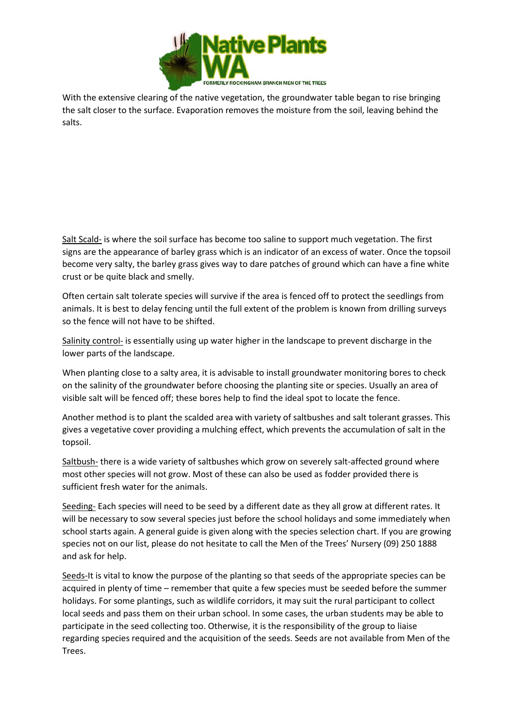

With the extensive clearing of the native vegetation, the groundwater table began to rise bringing the salt closer to the surface. Evaporation removes the moisture from the soil, leaving behind the salts.

Salt Scald- is where the soil surface has become too saline to support much vegetation. The first signs are the appearance of barley grass which is an indicator of an excess of water. Once the topsoil become very salty, the barley grass gives way to dare patches of ground which can have a fine white crust or be quite black and smelly.

Often certain salt tolerate species will survive if the area is fenced off to protect the seedlings from animals. It is best to delay fencing until the full extent of the problem is known from drilling surveys so the fence will not have to be shifted.

Salinity control- is essentially using up water higher in the landscape to prevent discharge in the lower parts of the landscape.

When planting close to a salty area, it is advisable to install groundwater monitoring bores to check on the salinity of the groundwater before choosing the planting site or species. Usually an area of visible salt will be fenced off; these bores help to find the ideal spot to locate the fence.

Another method is to plant the scalded area with variety of saltbushes and salt tolerant grasses. This gives a vegetative cover providing a mulching effect, which prevents the accumulation of salt in the topsoil.

Saltbush- there is a wide variety of saltbushes which grow on severely salt-affected ground where most other species will not grow. Most of these can also be used as fodder provided there is sufficient fresh water for the animals.

Seeding- Each species will need to be seed by a different date as they all grow at different rates. It will be necessary to sow several species just before the school holidays and some immediately when school starts again. A general guide is given along with the species selection chart. If you are growing species not on our list, please do not hesitate to call the Men of the Trees' Nursery (09) 250 1888 and ask for help.

Seeds-It is vital to know the purpose of the planting so that seeds of the appropriate species can be acquired in plenty of time – remember that quite a few species must be seeded before the summer holidays. For some plantings, such as wildlife corridors, it may suit the rural participant to collect local seeds and pass them on their urban school. In some cases, the urban students may be able to participate in the seed collecting too. Otherwise, it is the responsibility of the group to liaise regarding species required and the acquisition of the seeds. Seeds are not available from Men of the Trees.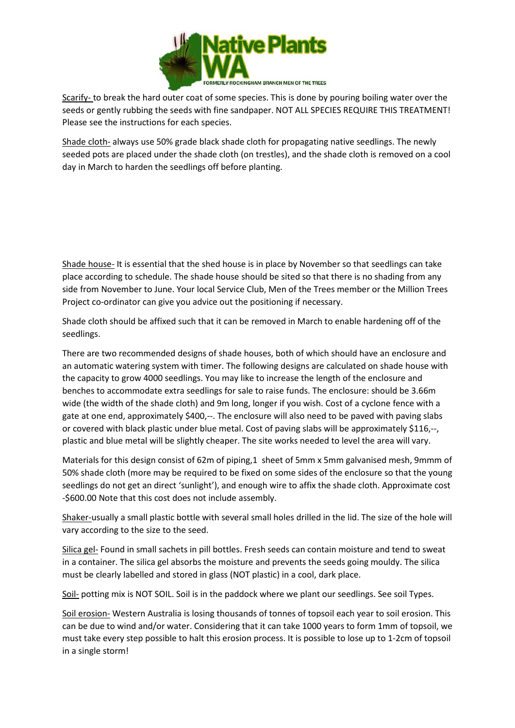

Scarify- to break the hard outer coat of some species. This is done by pouring boiling water over the seeds or gently rubbing the seeds with fine sandpaper. NOT ALL SPECIES REQUIRE THIS TREATMENT! Please see the instructions for each species.

Shade cloth- always use 50% grade black shade cloth for propagating native seedlings. The newly seeded pots are placed under the shade cloth (on trestles), and the shade cloth is removed on a cool day in March to harden the seedlings off before planting.

Shade house- It is essential that the shed house is in place by November so that seedlings can take place according to schedule. The shade house should be sited so that there is no shading from any side from November to June. Your local Service Club, Men of the Trees member or the Million Trees Project co-ordinator can give you advice out the positioning if necessary.

Shade cloth should be affixed such that it can be removed in March to enable hardening off of the seedlings.

There are two recommended designs of shade houses, both of which should have an enclosure and an automatic watering system with timer. The following designs are calculated on shade house with the capacity to grow 4000 seedlings. You may like to increase the length of the enclosure and benches to accommodate extra seedlings for sale to raise funds. The enclosure: should be 3.66m wide (the width of the shade cloth) and 9m long, longer if you wish. Cost of a cyclone fence with a gate at one end, approximately \$400,--. The enclosure will also need to be paved with paving slabs or covered with black plastic under blue metal. Cost of paving slabs will be approximately \$116,--, plastic and blue metal will be slightly cheaper. The site works needed to level the area will vary.

Materials for this design consist of 62m of piping,1 sheet of 5mm x 5mm galvanised mesh, 9mmm of 50% shade cloth (more may be required to be fixed on some sides of the enclosure so that the young seedlings do not get an direct 'sunlight'), and enough wire to affix the shade cloth. Approximate cost -\$600.00 Note that this cost does not include assembly.

Shaker-usually a small plastic bottle with several small holes drilled in the lid. The size of the hole will vary according to the size to the seed.

Silica gel- Found in small sachets in pill bottles. Fresh seeds can contain moisture and tend to sweat in a container. The silica gel absorbs the moisture and prevents the seeds going mouldy. The silica must be clearly labelled and stored in glass (NOT plastic) in a cool, dark place.

Soil- potting mix is NOT SOIL. Soil is in the paddock where we plant our seedlings. See soil Types.

Soil erosion- Western Australia is losing thousands of tonnes of topsoil each year to soil erosion. This can be due to wind and/or water. Considering that it can take 1000 years to form 1mm of topsoil, we must take every step possible to halt this erosion process. It is possible to lose up to 1-2cm of topsoil in a single storm!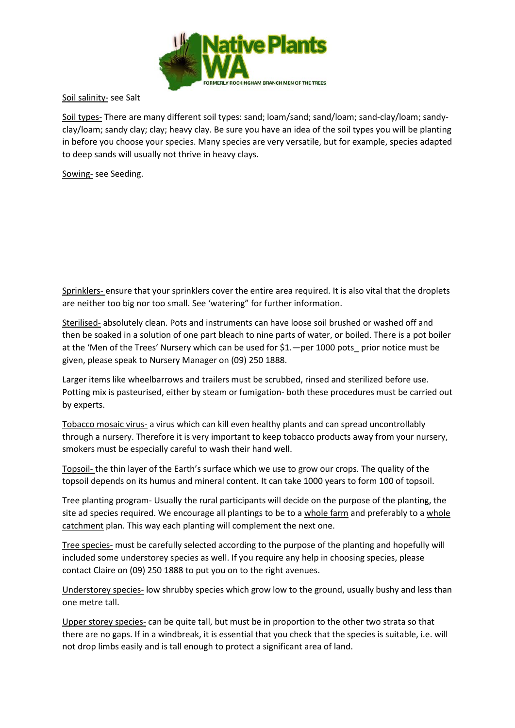

Soil salinity- see Salt

Soil types- There are many different soil types: sand; loam/sand; sand/loam; sand-clay/loam; sandyclay/loam; sandy clay; clay; heavy clay. Be sure you have an idea of the soil types you will be planting in before you choose your species. Many species are very versatile, but for example, species adapted to deep sands will usually not thrive in heavy clays.

Sowing- see Seeding.

Sprinklers- ensure that your sprinklers cover the entire area required. It is also vital that the droplets are neither too big nor too small. See 'watering" for further information.

Sterilised- absolutely clean. Pots and instruments can have loose soil brushed or washed off and then be soaked in a solution of one part bleach to nine parts of water, or boiled. There is a pot boiler at the 'Men of the Trees' Nursery which can be used for \$1.—per 1000 pots\_ prior notice must be given, please speak to Nursery Manager on (09) 250 1888.

Larger items like wheelbarrows and trailers must be scrubbed, rinsed and sterilized before use. Potting mix is pasteurised, either by steam or fumigation- both these procedures must be carried out by experts.

Tobacco mosaic virus- a virus which can kill even healthy plants and can spread uncontrollably through a nursery. Therefore it is very important to keep tobacco products away from your nursery, smokers must be especially careful to wash their hand well.

Topsoil- the thin layer of the Earth's surface which we use to grow our crops. The quality of the topsoil depends on its humus and mineral content. It can take 1000 years to form 100 of topsoil.

Tree planting program- Usually the rural participants will decide on the purpose of the planting, the site ad species required. We encourage all plantings to be to a whole farm and preferably to a whole catchment plan. This way each planting will complement the next one.

Tree species- must be carefully selected according to the purpose of the planting and hopefully will included some understorey species as well. If you require any help in choosing species, please contact Claire on (09) 250 1888 to put you on to the right avenues.

Understorey species- low shrubby species which grow low to the ground, usually bushy and less than one metre tall.

Upper storey species- can be quite tall, but must be in proportion to the other two strata so that there are no gaps. If in a windbreak, it is essential that you check that the species is suitable, i.e. will not drop limbs easily and is tall enough to protect a significant area of land.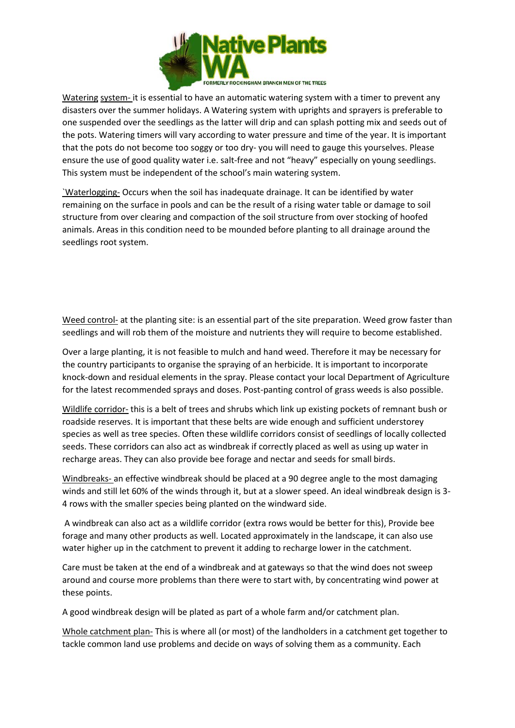

Watering system- it is essential to have an automatic watering system with a timer to prevent any disasters over the summer holidays. A Watering system with uprights and sprayers is preferable to one suspended over the seedlings as the latter will drip and can splash potting mix and seeds out of the pots. Watering timers will vary according to water pressure and time of the year. It is important that the pots do not become too soggy or too dry- you will need to gauge this yourselves. Please ensure the use of good quality water i.e. salt-free and not "heavy" especially on young seedlings. This system must be independent of the school's main watering system.

`Waterlogging- Occurs when the soil has inadequate drainage. It can be identified by water remaining on the surface in pools and can be the result of a rising water table or damage to soil structure from over clearing and compaction of the soil structure from over stocking of hoofed animals. Areas in this condition need to be mounded before planting to all drainage around the seedlings root system.

Weed control- at the planting site: is an essential part of the site preparation. Weed grow faster than seedlings and will rob them of the moisture and nutrients they will require to become established.

Over a large planting, it is not feasible to mulch and hand weed. Therefore it may be necessary for the country participants to organise the spraying of an herbicide. It is important to incorporate knock-down and residual elements in the spray. Please contact your local Department of Agriculture for the latest recommended sprays and doses. Post-panting control of grass weeds is also possible.

Wildlife corridor- this is a belt of trees and shrubs which link up existing pockets of remnant bush or roadside reserves. It is important that these belts are wide enough and sufficient understorey species as well as tree species. Often these wildlife corridors consist of seedlings of locally collected seeds. These corridors can also act as windbreak if correctly placed as well as using up water in recharge areas. They can also provide bee forage and nectar and seeds for small birds.

Windbreaks- an effective windbreak should be placed at a 90 degree angle to the most damaging winds and still let 60% of the winds through it, but at a slower speed. An ideal windbreak design is 3- 4 rows with the smaller species being planted on the windward side.

A windbreak can also act as a wildlife corridor (extra rows would be better for this), Provide bee forage and many other products as well. Located approximately in the landscape, it can also use water higher up in the catchment to prevent it adding to recharge lower in the catchment.

Care must be taken at the end of a windbreak and at gateways so that the wind does not sweep around and course more problems than there were to start with, by concentrating wind power at these points.

A good windbreak design will be plated as part of a whole farm and/or catchment plan.

Whole catchment plan- This is where all (or most) of the landholders in a catchment get together to tackle common land use problems and decide on ways of solving them as a community. Each